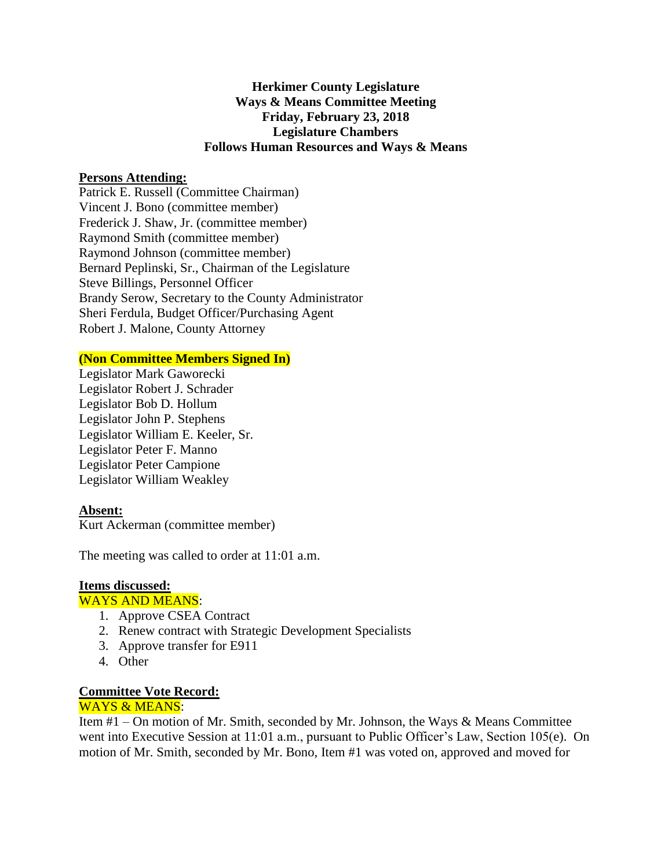# **Herkimer County Legislature Ways & Means Committee Meeting Friday, February 23, 2018 Legislature Chambers Follows Human Resources and Ways & Means**

# **Persons Attending:**

Patrick E. Russell (Committee Chairman) Vincent J. Bono (committee member) Frederick J. Shaw, Jr. (committee member) Raymond Smith (committee member) Raymond Johnson (committee member) Bernard Peplinski, Sr., Chairman of the Legislature Steve Billings, Personnel Officer Brandy Serow, Secretary to the County Administrator Sheri Ferdula, Budget Officer/Purchasing Agent Robert J. Malone, County Attorney

#### **(Non Committee Members Signed In)**

Legislator Mark Gaworecki Legislator Robert J. Schrader Legislator Bob D. Hollum Legislator John P. Stephens Legislator William E. Keeler, Sr. Legislator Peter F. Manno Legislator Peter Campione Legislator William Weakley

#### **Absent:**

Kurt Ackerman (committee member)

The meeting was called to order at 11:01 a.m.

#### **Items discussed:**

#### WAYS AND MEANS:

- 1. Approve CSEA Contract
- 2. Renew contract with Strategic Development Specialists
- 3. Approve transfer for E911
- 4. Other

## **Committee Vote Record:**

## WAYS & MEANS:

Item #1 – On motion of Mr. Smith, seconded by Mr. Johnson, the Ways & Means Committee went into Executive Session at 11:01 a.m., pursuant to Public Officer's Law, Section 105(e). On motion of Mr. Smith, seconded by Mr. Bono, Item #1 was voted on, approved and moved for